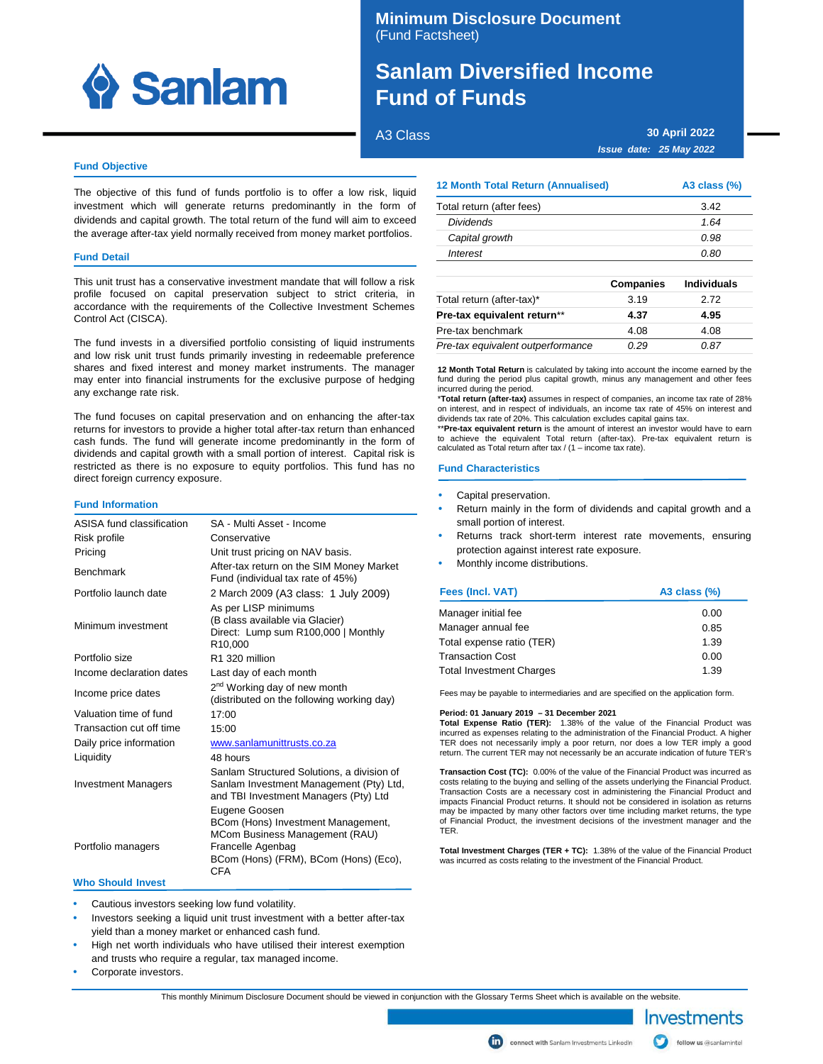

# **Minimum Disclosure Document** (Fund Factsheet)

# **Sanlam Diversified Income Fund of Funds**

A3 Class

**30 April 2022 Issue date: 25 May 2022**

# **Fund Objective**

The objective of this fund of funds portfolio is to offer a low risk, liquid investment which will generate returns predominantly in the form of dividends and capital growth. The total return of the fund will aim to exceed the average after-tax yield normally received from money market portfolios.

# **Fund Detail**

This unit trust has a conservative investment mandate that will follow a risk profile focused on capital preservation subject to strict criteria, in accordance with the requirements of the Collective Investment Schemes Control Act (CISCA).

The fund invests in a diversified portfolio consisting of liquid instruments and low risk unit trust funds primarily investing in redeemable preference shares and fixed interest and money market instruments. The manager may enter into financial instruments for the exclusive purpose of hedging any exchange rate risk.

The fund focuses on capital preservation and on enhancing the after-tax returns for investors to provide a higher total after-tax return than enhanced cash funds. The fund will generate income predominantly in the form of dividends and capital growth with a small portion of interest. Capital risk is restricted as there is no exposure to equity portfolios. This fund has no direct foreign currency exposure.

### **Fund Information**

| ASISA fund classification  | SA - Multi Asset - Income                                                                                                                                         |
|----------------------------|-------------------------------------------------------------------------------------------------------------------------------------------------------------------|
| Risk profile               | Conservative                                                                                                                                                      |
| Pricing                    | Unit trust pricing on NAV basis.                                                                                                                                  |
| <b>Benchmark</b>           | After-tax return on the SIM Money Market<br>Fund (individual tax rate of 45%)                                                                                     |
| Portfolio launch date      | 2 March 2009 (A3 class: 1 July 2009)                                                                                                                              |
| Minimum investment         | As per LISP minimums<br>(B class available via Glacier)<br>Direct: Lump sum R100,000   Monthly<br>R <sub>10</sub> .000                                            |
| Portfolio size             | R1 320 million                                                                                                                                                    |
| Income declaration dates   | Last day of each month                                                                                                                                            |
| Income price dates         | 2 <sup>nd</sup> Working day of new month<br>(distributed on the following working day)                                                                            |
| Valuation time of fund     | 17:00                                                                                                                                                             |
| Transaction cut off time   | 15:00                                                                                                                                                             |
| Daily price information    | www.sanlamunittrusts.co.za                                                                                                                                        |
| Liquidity                  | 48 hours                                                                                                                                                          |
| <b>Investment Managers</b> | Sanlam Structured Solutions, a division of<br>Sanlam Investment Management (Pty) Ltd,<br>and TBI Investment Managers (Pty) Ltd                                    |
| Portfolio managers         | Eugene Goosen<br>BCom (Hons) Investment Management,<br>MCom Business Management (RAU)<br>Francelle Agenbag<br>BCom (Hons) (FRM), BCom (Hons) (Eco),<br><b>CFA</b> |
| <b>Who Should Invest</b>   |                                                                                                                                                                   |

Cautious investors seeking low fund volatility.

- Investors seeking a liquid unit trust investment with a better after-tax yield than a money market or enhanced cash fund.
- High net worth individuals who have utilised their interest exemption and trusts who require a regular, tax managed income.
- Corporate investors.

This monthly Minimum Disclosure Document should be viewed in conjunction with the Glossary Terms Sheet which is available on the website.

# **12 Month Total Return (Annualised) A3 class (%)**

| Total return (after fees) | 3.42 |
|---------------------------|------|
| <b>Dividends</b>          | 1.64 |
| Capital growth            | O.98 |
| Interest                  | 0.80 |

|                                   | <b>Companies</b> | <b>Individuals</b> |
|-----------------------------------|------------------|--------------------|
| Total return (after-tax)*         | 3.19             | 2.72               |
| Pre-tax equivalent return**       | 4.37             | 4.95               |
| Pre-tax benchmark                 | 4.08             | 4.08               |
| Pre-tax equivalent outperformance | O 29             | 0.87               |

**12 Month Total Return** is calculated by taking into account the income earned by the fund during the period plus capital growth, minus any management and other fees incurred during the period.

\***Total return (after-tax)** assumes in respect of companies, an income tax rate of 28% on interest, and in respect of individuals, an income tax rate of 45% on interest and dividends tax rate of 20%. This calculation excludes capital gains tax.

\*\***Pre-tax equivalent return** is the amount of interest an investor would have to earn to achieve the equivalent Total return (after-tax). Pre-tax equivalent return is calculated as Total return after tax  $/$  (1 – income tax rate).

# **Fund Characteristics**

- Capital preservation.
- Return mainly in the form of dividends and capital growth and a small portion of interest.
- Returns track short-term interest rate movements, ensuring protection against interest rate exposure.
- Monthly income distributions.

| <b>Fees (Incl. VAT)</b>         | A3 class $(\%)$ |  |
|---------------------------------|-----------------|--|
| Manager initial fee             | 0.00            |  |
| Manager annual fee              | 0.85            |  |
| Total expense ratio (TER)       | 1.39            |  |
| <b>Transaction Cost</b>         | 0.00            |  |
| <b>Total Investment Charges</b> | 1.39            |  |

Fees may be payable to intermediaries and are specified on the application form.

#### **Period: 01 January 2019 – 31 December 2021**

**Total Expense Ratio (TER):** 1.38% of the value of the Financial Product was incurred as expenses relating to the administration of the Financial Product. A higher TER does not necessarily imply a poor return, nor does a low TER imply a good return. The current TER may not necessarily be an accurate indication of future TER's

**Transaction Cost (TC):** 0.00% of the value of the Financial Product was incurred as costs relating to the buying and selling of the assets underlying the Financial Product. Transaction Costs are a necessary cost in administering the Financial Product and impacts Financial Product returns. It should not be considered in isolation as returns may be impacted by many other factors over time including market returns, the type of Financial Product, the investment decisions of the investment manager and the TER.

**Total Investment Charges (TER + TC):** 1.38% of the value of the Financial Product was incurred as costs relating to the investment of the Financial Product.

Investments

follow us @sanlamintel